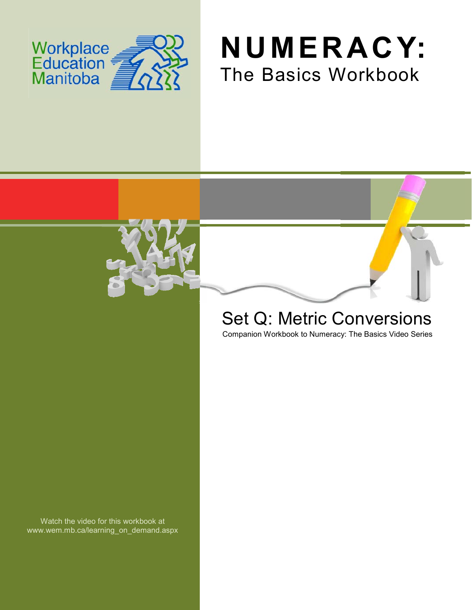





# Set Q: Metric Conversions

Companion Workbook to Numeracy: The Basics Video Series

Watch the video for this workbook at www.wem.mb.ca/learning\_on\_demand.aspx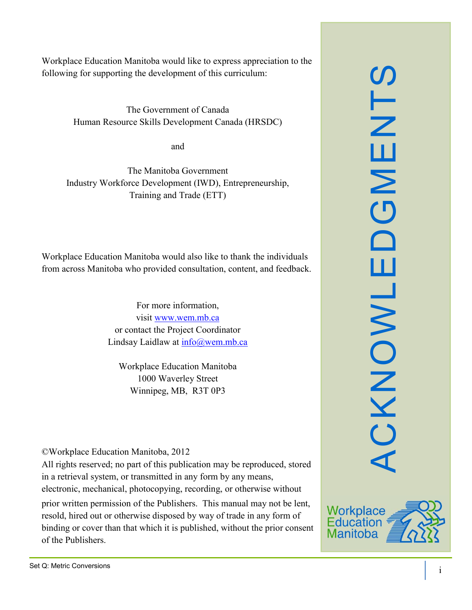Workplace Education Manitoba would like to express appreciation to the following for supporting the development of this curriculum:

> The Government of Canada Human Resource Skills Development Canada (HRSDC)

> > and

The Manitoba Government Industry Workforce Development (IWD), Entrepreneurship, Training and Trade (ETT)

Workplace Education Manitoba would also like to thank the individuals from across Manitoba who provided consultation, content, and feedback.

> For more information, visit [www.wem.mb.ca](http://www.wem.mb.ca/) or contact the Project Coordinator Lindsay Laidlaw at [info@wem.mb.ca](mailto:info@wem.mb.ca)

Workplace Education Manitoba 1000 Waverley Street Winnipeg, MB, R3T 0P3

©Workplace Education Manitoba, 2012

All rights reserved; no part of this publication may be reproduced, stored in a retrieval system, or transmitted in any form by any means, electronic, mechanical, photocopying, recording, or otherwise without

prior written permission of the Publishers. This manual may not be lent, resold, hired out or otherwise disposed by way of trade in any form of binding or cover than that which it is published, without the prior consent of the Publishers.



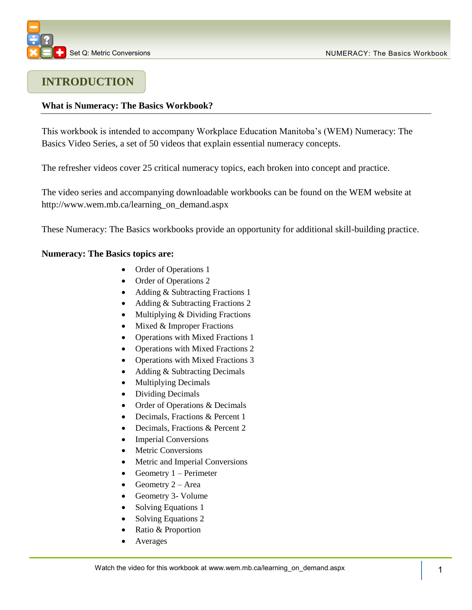

# **INTRODUCTION**

# **What is Numeracy: The Basics Workbook?**

This workbook is intended to accompany Workplace Education Manitoba's (WEM) Numeracy: The Basics Video Series, a set of 50 videos that explain essential numeracy concepts.

The refresher videos cover 25 critical numeracy topics, each broken into concept and practice.

The video series and accompanying downloadable workbooks can be found on the WEM website at [http://www.wem.mb.ca/learning\\_on\\_demand.aspx](http://www.wem.mb.ca/learning_on_demand.aspx)

These Numeracy: The Basics workbooks provide an opportunity for additional skill-building practice.

#### **Numeracy: The Basics topics are:**

- Order of Operations 1
- Order of Operations 2
- Adding & Subtracting Fractions 1
- Adding & Subtracting Fractions 2
- Multiplying & Dividing Fractions
- $\bullet$  Mixed & Improper Fractions
- Operations with Mixed Fractions 1
- Operations with Mixed Fractions 2
- Operations with Mixed Fractions 3
- Adding & Subtracting Decimals
- Multiplying Decimals
- Dividing Decimals
- Order of Operations & Decimals
- Decimals, Fractions & Percent 1
- Decimals, Fractions & Percent 2
- Imperial Conversions
- Metric Conversions
- Metric and Imperial Conversions
- Geometry  $1 -$  Perimeter
- Geometry  $2 Area$
- Geometry 3- Volume
- Solving Equations 1
- Solving Equations 2
- Ratio & Proportion
- Averages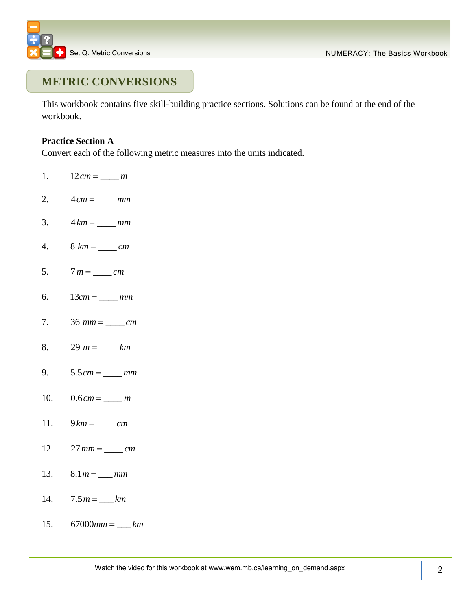

# **METRIC CONVERSIONS**

This workbook contains five skill-building practice sections. Solutions can be found at the end of the workbook.

# **Practice Section A**

Convert each of the following metric measures into the units indicated.

- 1.  $12 cm = \_ m$
- 2.  $4 cm = mm$
- 3.  $4 km = \_ mm$
- 4.  $8 km =$  *cm*
- 5.  $7 m = \_ cm$
- 6.  $13 cm =$  *mm*
- 7. 36 \_\_\_\_ *mm cm*
- 8.  $29 \text{ } m = \text{ } \text{ } km$
- 9.  $5.5 cm = \_ mm$
- 10.  $0.6 cm = \_ m$
- 11.  $9 km =$  *cm*
- 12.  $27$   $mm = \_ cm$
- 13.  $8.1 m = \_ mm$
- 14.  $7.5 m = \_ km$
- 15.  $67000$   $mm = \_ km$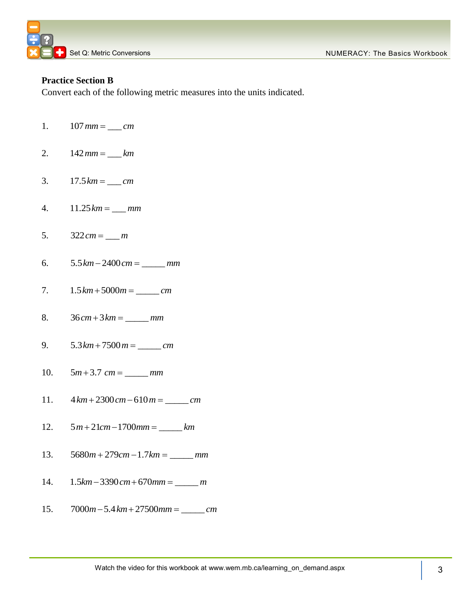

# **Practice Section B**

Convert each of the following metric measures into the units indicated.

- 1.  $107$   $mm = \_ cm$
- 2.  $142$   $mm =$   $km$
- 3.  $17.5 km =$  <u>*km*</u>
- 4.  $11.25 km = \_ mm$
- 5.  $322 cm = \_ m$
- 6.  $5.5 km - 2400 cm =$  *mm*
- 7.  $1.5 km + 5000 m =$ <u>\_\_\_\_\_\_\_</u> *cm*
- 8.  $36 cm + 3 km =$  *mm*
- 9.  $5.3 km + 7500 m =$ <u>\_\_\_\_\_\_\_</u> *cm*
- 10.  $5m + 3.7$   $cm =$  \_\_\_\_\_\_  $mm$
- 11.  $4 km + 2300 cm - 610 m =$  \_\_\_\_\_\_\_ *cm*
- 12.  $5 m + 21 cm - 1700 mm =$  \_\_\_\_\_\_\_ *km*
- 13.  $5680 m + 279 cm - 1.7 km =$  *mm*
- 14.  $1.5 km - 3390 cm + 670 mm =$  *m*
- 15.  $7000 m - 5.4 km + 27500 mm =$  \_\_\_\_\_\_\_ *cm*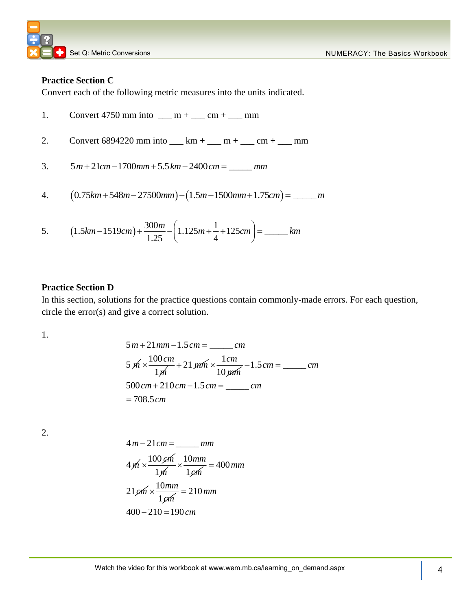## **Practice Section C**

Convert each of the following metric measures into the units indicated.

1. Convert 4750 mm into \_\_ m + \_\_ cm + \_\_ mm  
\n2. Convert 6894220 mm into \_\_ km + \_\_ m + \_\_ cm + \_\_ mm  
\n3. 
$$
5m+21cm-1700mm+5.5km-2400cm = __ mm
$$
  
\n4.  $(0.75km+548m-27500mm)-(1.5m-1500mm+1.75cm) = __m$   
\n5.  $(1.5km-1519cm)+\frac{300m}{1.25}-\left(1.125m+\frac{1}{4}+125cm\right) = __km$ 

#### **Practice Section D**

In this section, solutions for the practice questions contain commonly-made errors. For each question, circle the error(s) and give a correct solution.

1.

$$
5 m + 21 mm - 1.5 cm = \underline{\hspace{2cm}} cm
$$
  
\n
$$
5 m \times \frac{100 cm}{1 m} + 21 mm \times \frac{1 cm}{10 mm} - 1.5 cm = \underline{\hspace{2cm}} cm
$$
  
\n
$$
500 cm + 210 cm - 1.5 cm = \underline{\hspace{2cm}} cm
$$
  
\n
$$
= 708.5 cm
$$

2.

$$
4 m - 21 cm = \t\t mm
$$
  

$$
4 m \times \frac{100 \, \rho m}{1 \, \text{m}} \times \frac{10 mm}{1 \, \rho m} = 400 \, \text{mm}
$$
  

$$
21 \, \rho m \times \frac{10 mm}{1 \, \rho m} = 210 \, \text{mm}
$$
  

$$
400 - 210 = 190 \, \text{cm}
$$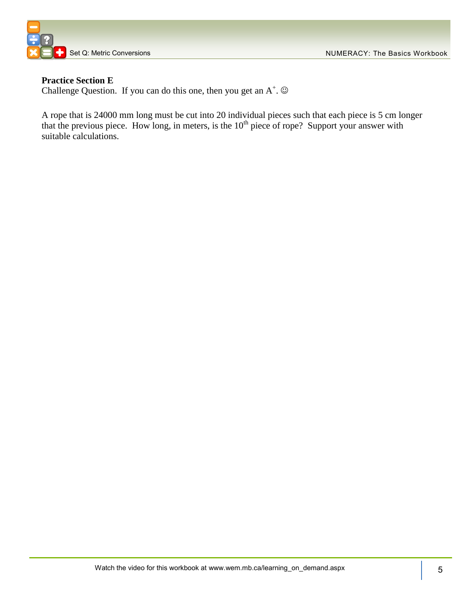



# **Practice Section E**

Challenge Question. If you can do this one, then you get an  $A^+$ .  $\odot$ 

A rope that is 24000 mm long must be cut into 20 individual pieces such that each piece is 5 cm longer that the previous piece. How long, in meters, is the  $10<sup>th</sup>$  piece of rope? Support your answer with suitable calculations.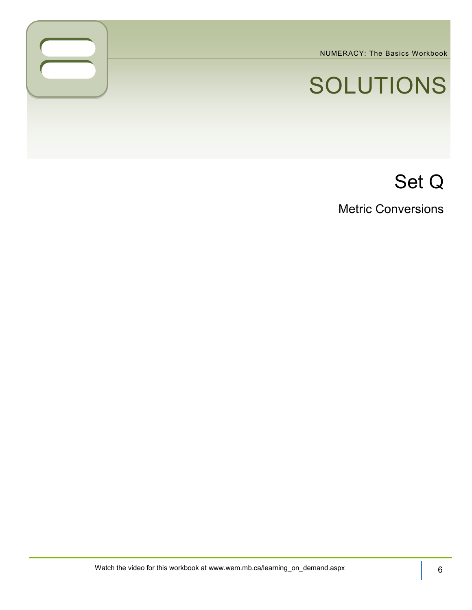NUMERACY: The Basics Workbook

# SOLUTIONS

# Set Q

Metric Conversions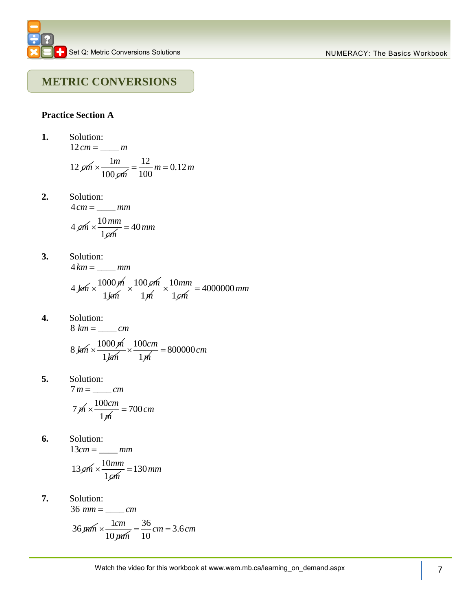# **METRIC CONVERSIONS**

# **Practice Section A**

1. Solution:  
\n
$$
12 \text{ cm} = \frac{m}{100 \text{ cm}} = \frac{12}{100} \text{ m} = 0.12 \text{ m}
$$
\n2. Solution:  
\n
$$
4 \text{ cm} = \frac{mm}{1 \text{ cm}}
$$
\n
$$
4 \text{ cm} \times \frac{10 \text{ mm}}{1 \text{ cm}} = 40 \text{ mm}
$$
\n3. Solution:  
\n
$$
4 \text{ km} = \frac{mm}{1 \text{ km}}
$$
\n4.  $\frac{1000 \text{ m}}{1 \text{ km}} \times \frac{100 \text{ cm}}{1 \text{ m}} \times \frac{10 \text{ mm}}{1 \text{ cm}} = 4000000 \text{ mm}$ \n4. Solution:  
\n
$$
8 \text{ km} = \frac{cm}{1 \text{ km}} = 8 \text{ km}
$$
\n
$$
8 \text{ km} \times \frac{1000 \text{ m}}{1 \text{ km}} \times \frac{100 \text{ cm}}{1 \text{ m}} = 800000 \text{ cm}
$$
\n5. Solution:  
\n
$$
7 \text{ m} = \frac{cm}{1 \text{ m}}
$$
\n
$$
7 \text{ m} \times \frac{100 \text{ cm}}{1 \text{ m}} = 700 \text{ cm}
$$
\n6. Solution:  
\n
$$
13 \text{ cm} = \frac{mm}{1 \text{ cm}}
$$
\n
$$
13 \text{ cm} \times \frac{10 \text{ mm}}{1 \text{ cm}} = 130 \text{ mm}
$$
\n7. Solution:  
\n
$$
36 \text{ mm} = \frac{cm}{10 \text{ mm}} = \frac{36}{10} \text{ cm} = 3.6 \text{ cm}
$$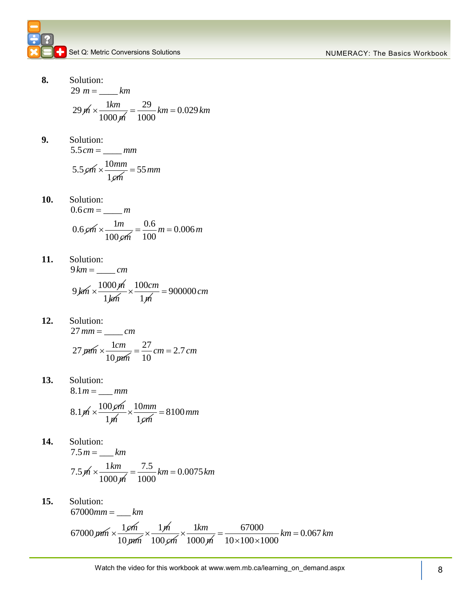**8.** Solution: Solution:<br>29  $m = \underline{\hspace{2cm}} km$ 1 *km*

$$
29 \cancel{m} \times \frac{1 \cancel{km}}{1000 \cancel{m}} = \frac{29}{1000} \cancel{km} = 0.029 \cancel{km}
$$

**9.** Solution:  $5.5 cm =$  *mm* 

$$
5.5 \,\cancel{cm} \times \frac{10 \,mm}{1 \,\cancel{cm}} = 55 \,mm
$$

- **10.** Solution: Solution:<br>0.6 *cm* = \_\_\_\_ *m*  $0.6$  cm  $\times$   $\frac{1}{100}$ 100 *m cm*  $\times \frac{1m}{100} = \frac{0.6}{100}m = 0.006$  $=\frac{0.6}{100}m=0.006m$
- **11.** Solution: Solution:<br>9 km = <u>\_\_\_\_\_</u> cm 9 *km* 1000 *m* 1*km* 100 1 *cm m*  $x \frac{100cm}{4} = 900000cm$
- **12.** Solution: Solution:<br>27 mm = \_\_\_\_\_ *cm* 27 pm $m \times \frac{1}{n}$ 10 *cm mm*  $\times \frac{1cm}{1.2} = \frac{27}{1.2}$  cm = 2.7  $=\frac{27}{10}$  cm = 2.7 cm
- **13.** Solution: Solution:<br>8.1 *m* = \_\_\_ *mm*  $8.1 \cancel{m} \times \frac{100 \cancel{cm}}{100}$ 1*m* 10 1 *mm cm*  $\times \frac{10mm}{\sim} = 8100mm$
- **14.** Solution: Solution:<br>7.5 *m* = \_\_\_ *km*  $7.5 \, \text{m} \times \frac{1}{100}$ 1000 *km m*  $\times \frac{1km}{1000} = \frac{7.5}{1000} km = 0.0075$  $=\frac{7.5}{1000}$  km = 0.0075 km
- **15.** Solution:  $1000 \, \text{m}$   $1000 \, \text{m}$ <br>
Solution:<br>  $67000 \, \text{mm} = \_ \text{km}$ 67000 pm  $\times \frac{1}{10}$  $=$ 10 *mm*  $\times \frac{1}{\sqrt{n}}$ 100 *cm* 1 1000 *km m*  $x \frac{1km}{10000} = \frac{67000}{1000000} km = 0.067$  $\frac{67000}{10 \times 100 \times 1000}$  $=\frac{67000}{10\times100\times1000}$  km = 0.067 km  $\frac{67000}{x100 \times 1000}$  km =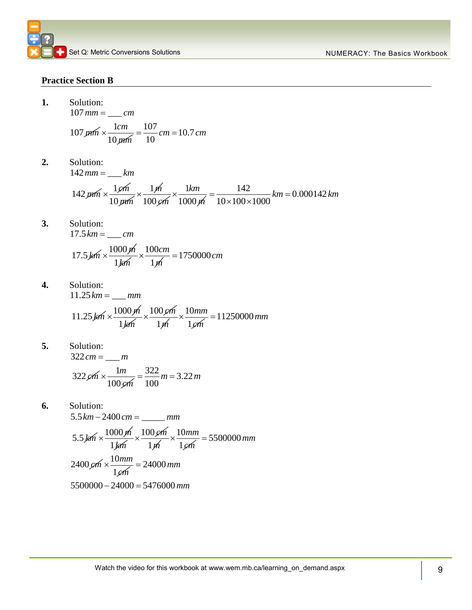#### **Practice Section B**

1. Solution: 
$$
107 \text{ mm} = \underline{\qquad}
$$

$$
107 \,\mu\text{m} \times \frac{1 \text{cm}}{10 \,\mu\text{m}} = \frac{107}{10} \text{cm} = 10.7 \text{cm}
$$

*mm cm*

**2.** Solution: 10  $\mu$ m<br>
Solution:<br>
142  $mm =$  <u>km</u>  $=$ 

Solution:  
\n
$$
142 \, mm = \underline{\hspace{1cm}} km
$$
\n
$$
142 \, mm \times \frac{1 \, \rho m}{10 \, \rho m} \times \frac{1 \, \rho}{100 \, \rho m} \times \frac{1 \, km}{1000 \, \rho m} = \frac{142}{10 \times 100 \times 1000} \, km = 0.000142 \, km
$$

**3.** Solution: Solution:<br>17.5 km = <u>\_\_\_</u> cm

$$
17.5 \cancel{km} \times \frac{1000 \cancel{m}}{1 \cancel{km}} \times \frac{100 \cancel{cm}}{1 \cancel{m}} = 1750000 \cancel{cm}
$$

**4.** Solution: Solution:<br>11.25 km = <u>\_\_\_</u> mm

$$
11.25 \cancel{km} \times \frac{1000 \cancel{m}}{1 \cancel{km}} \times \frac{100 \cancel{cm}}{1 \cancel{m}} \times \frac{10 mm}{1 \cancel{cm}} = 11250000 mm
$$

**5.** Solution: Solution:<br> $322 \text{ cm} =$ <u>\_\_\_\_</u> m

$$
322 \cancel{cm} \times \frac{1m}{100 \cancel{cm}} = \frac{322}{100} m = 3.22 m
$$

**6.** Solution: Solution:<br>5.5 *km –* 2400 *cm =* \_\_\_\_\_\_ *mm* 5.5 *km* 1000 *m* 1*km*  $\times \frac{100 \cancel{cm}}{}$ 1*m* 10 1 *mm cm*  $\times \frac{10mm}{\sim}$  = 5500000 mm  $2400 \, \text{cm} \times \frac{10}{1}$ 1 *mm cm*  $2400 \cancel{cm} \times \frac{10mm}{1 \cancel{cm}} = 24000 \text{ mm}$ <br>5500000 - 24000 = 5476000 m  $5500000 - 24000 = 5476000$  mm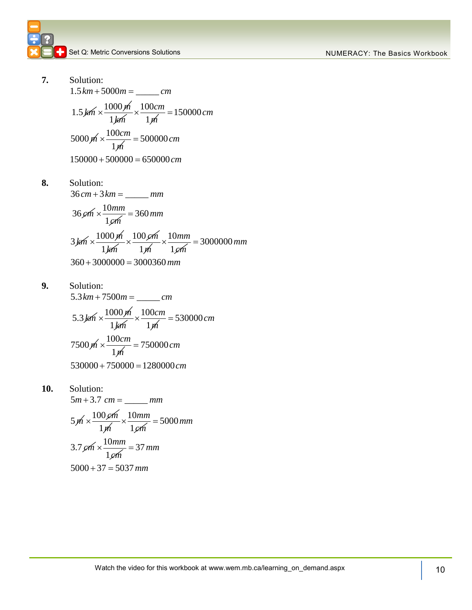**7.** Solution: Solution:<br> $1.5 km + 5000m =$ <u>\_\_\_\_\_\_\_\_</u>*cm*  $1.5 \, \cancel{km} \times \frac{1000 \, \cancel{m}}{1.5 \, \cancel{m}}$ 1*km* 100 1 *cm m*  $\times \frac{100cm}{100} = 150000 \, cm$ 5000  $\cancel{m} \times \frac{100cm}{\sqrt{2}}$ 

$$
5000 \, \text{m} \times \frac{1000 \, \text{m}}{1 \, \text{m}} = 500000 \, \text{cm}
$$
\n
$$
150000 + 500000 = 650000 \, \text{cm}
$$

8. Solution:  
\n
$$
36 cm + 3 km = \underline{\qquad} \qquad mm
$$
\n
$$
36 cm \times \frac{10 mm}{1 cm} = 360 mm
$$
\n
$$
3 km \times \frac{1000 m}{1 km} \times \frac{100 cm}{1 m} \times \frac{10 mm}{1 cm} = 3000000 mm
$$
\n
$$
360 + 3000000 = 3000360 mm
$$

- **9.** Solution: Solution:<br>5.3 km + 7500m = \_\_\_\_\_\_ *cm*  $5.3 \cancel{\text{km}} \times \frac{1000 \cancel{\text{m}}}{1000 \cancel{\text{m}}}$ 1*km* 100 1 *cm m*  $\times \frac{100cm}{100} = 530000cm$  $7500 \, \text{m} \times \frac{100}{100}$ 1 *cm m*  $\times \frac{100cm}{100} = 750000 \, cm$  $\frac{1}{m}$ <br>530000 + 750000 = 1280000 *cm*
- **10.** Solution:

Solution:  
\n
$$
5m + 3.7 \text{ cm} = \text{ mm}
$$
  
\n $5m \times \frac{100 \text{ cm}}{1 \text{ m}} \times \frac{10 \text{ mm}}{1 \text{ cm}} = 5000 \text{ mm}$   
\n $3.7 \text{ cm} \times \frac{10 \text{ mm}}{1 \text{ cm}} = 37 \text{ mm}$   
\n $5000 + 37 = 5037 \text{ mm}$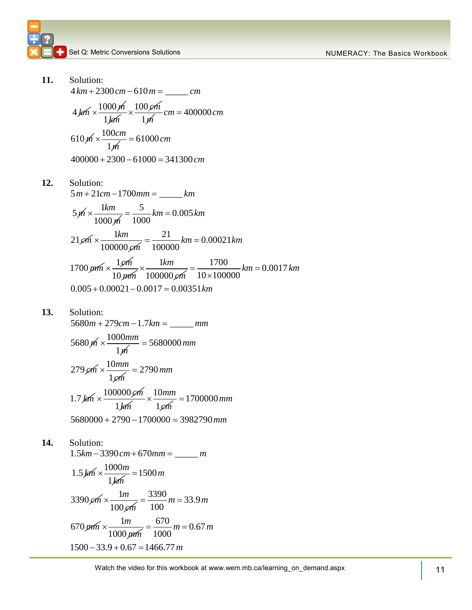11. Solution:  
\n
$$
4 km + 2300 cm - 610 m = \underline{\hspace{1cm}} cm
$$
\n
$$
4 km \times \frac{1000 \cancel{m}}{1 \cancel{km}} \times \frac{100 \cancel{em}}{1 \cancel{m}} cm = 400000 cm
$$
\n
$$
610 \cancel{m} \times \frac{100 cm}{1 \cancel{m}} = 61000 cm
$$
\n
$$
400000 + 2300 - 61000 = 341300 cm
$$
\n12. Solution:  
\n
$$
5 m + 21 cm - 1700 mm = \underline{\hspace{1cm}} km
$$
\n
$$
5 \cancel{m} \times \frac{1 km}{1000 \cancel{m}} = \frac{5}{1000} km = 0.005 km
$$
\n
$$
21 \cancel{em} \times \frac{1 km}{1000000 \cancel{em}} = \frac{21}{1000000} km = 0.00021 km
$$

$$
21\,\mu m \times \frac{1\,\mu m}{100000\,\mu m} = \frac{1}{100000} \,\kappa m = 0.00021 \,\kappa m
$$
\n
$$
1700\,\mu m \times \frac{1\,\mu m}{10\,\mu m} \times \frac{1\,\kappa m}{100000\,\mu m} = \frac{1700}{10 \times 100000} \,\kappa m = 0.0017 \,\kappa m
$$
\n
$$
0.005 + 0.00021 - 0.0017 = 0.00351 \,\kappa m
$$

**13.** Solution:

5680 279 1.7 \_\_\_\_\_ *m cm km mm* 

$$
5680 \,\text{m} \times \frac{1000 \,\text{mm}}{1 \,\text{m}} = 5680000 \,\text{mm}
$$

$$
279 \, \text{cm} \times \frac{10 \, \text{mm}}{1 \, \text{cm}} = 2790 \, \text{mm}
$$
\n
$$
1.7 \, \text{km} \times \frac{100000 \, \text{cm}}{1 \, \text{km}} \times \frac{10 \, \text{mm}}{1 \, \text{cm}} = 1700000 \, \text{mm}
$$
\n
$$
5680000 + 2790 - 1700000 = 3982790 \, \text{mm}
$$

# **14.** Solution:

Solution:<br>1.5*km* – 3390 *cm* + 670 *mm* = \_\_\_\_\_\_ *m*  $1.5 \cancel{km} \times \frac{1000}{1100}$ 1 *m km*  $\times \frac{1000m}{100} = 1500m$ 3390  $\sin x - \frac{1}{2}$ 100 *m cm*  $\times \frac{1m}{100} = \frac{3390}{100}m = 33.9$  $=\frac{3390}{100}m = 33.9m$  $670 \,\mu m \times \frac{11}{1000}$ 1000 *m mm*  $x \frac{1m}{1000} = \frac{670}{1000} m = 0.67$  $=\frac{670}{1000}m = 0.67 m$  $1000 \mu m$  1000<br> $1500 - 33.9 + 0.67 = 1466.77 m$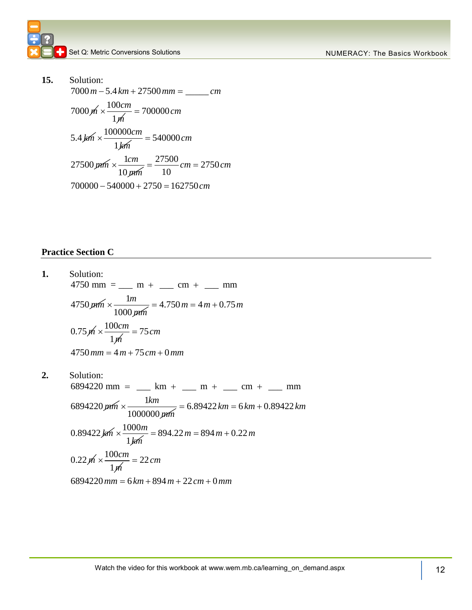**15.** Solution: Solution:<br>7000*m* – 5.4 km + 27500 mm = \_\_\_\_\_\_ cm  $7000 \, \text{m} \times \frac{100}{100}$ 1 *cm m*  $\times \frac{100cm}{4} = 700000cm$  $5.4 \cancel{km} \times \frac{100000}{100000}$ 1 *cm km*  $\times \frac{100000cm}{6} = 540000cm$ 27500 pm  $\times \frac{1}{2}$ 10 *cm mm*  $\times \frac{1cm}{1} = \frac{27500}{10}$  cm = 2750  $\frac{21588 \mu m}{10 \mu m}$  10<br>700000 - 540000 + 2750 = 162750  $=\frac{27500}{10}$  *cm* = 2750 *cm*  $700000 - 540000 + 2750 = 162750$  *cm*  $-540000 + 2750 = 16275$ 

#### **Practice Section C**

**1.** Solution: Solution:<br>4750 mm = \_\_\_ m + \_\_\_ cm + \_\_\_ mm 4750 *mm* 1 1000 *m*  $=\frac{1m}{1000 \mu m}$  = 4.750 m = 4 m + 0.75 m  $0.75 \, \text{m} \times \frac{100}{100}$ 1 *cm m*  $0.75 \cancel{m} \times \frac{100 \text{ cm}}{1 \cancel{m}} = 75 \text{ cm}$ <br>4750 mm = 4 m + 75 cm + 0  $m \times \frac{1}{m} = 15$  cm<br>  $mm = 4 m + 75$  cm + 0 mm **2.** Solution: Solution:<br>6894220 mm = \_\_\_ km + \_\_\_ m + \_\_\_ cm + \_\_\_ mm 6894220 *mm* 1 1000000 *km*  $=\frac{1}{2}$  km + <u>m</u> m + <u>m</u> cm + mm<br>  $\times \frac{1}{2}$  mm = 6.89422 km = 6 km + 0.89422 km 0.89422 km  $\times$   $\frac{1000}{1000}$ 1 *m*  $h \times \frac{1000000 \mu m}{1000000 \mu m} = 6.89422 km = 6 km +$ <br> $\times \frac{1000 m}{1 km} = 894.22 m = 894 m + 0.22 m$  $0.22 \, \text{m} \times \frac{100}{100}$ 1 *cm m*  $0.22 \cancel{m} \times \frac{100cm}{1 \cancel{m}} = 22 \, cm$ <br>6894220 mm = 6 km + 894 m + 22 cm + 0  $\frac{100cm}{1h}$  = 22 cm<br>
mm = 6 km + 894 m + 22 cm + 0 mm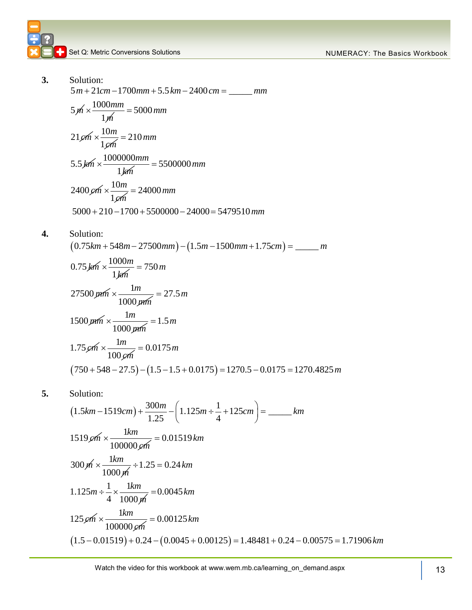*m*

- **3.** Solution: Solution:<br>5 *m* + 21*cm* – 1700 *mm* + 5.5 km – 2400 *cm* = \_\_\_\_\_\_ *mm*  $5 \cancel{m} \times \frac{1000}{1000}$ 1 *mm m*  $\times \frac{1000mm}{4} = 5000mm$  $21 \cancel{cm} \times \frac{10}{1}$ 1 *m cm*  $\times \frac{10m}{2} = 210$  mm 5.5 *km* 1000000 1 *mm km*  $\times \frac{1000000mm}{s} = 5500000mm$  $2400 \, \text{cm} \times \frac{10}{1}$ 1 *m cm*  $\times \frac{10m}{10} = 24000 \, \text{mm}$  $2400 \, \text{\emph{cm}} \times \frac{1 \, \text{\emph{cm}}}{1 \, \text{\emph{cm}}} = 24000 \, \text{\emph{mm}}$ <br> $5000 + 210 - 1700 + 5500000 - 24000 = 5479510 \, \text{\emph{mm}}$
- **4.** Solution: 0.75 548 27500 1.5 1500 1.75 \_\_\_\_\_ *km m mm m mm cm m*  $0.75 \cancel{km} \times \frac{1000}{1000}$ 1 *m km*  $\times \frac{1000m}{6} = 750m$ 27500 *mm* 1 1000 *m mm*  $x \frac{1m}{2} = 27.5 m$  $1500 \,\mathrm{mm} \times \frac{1}{2500 \,\mathrm{mm} \times 1}$ 1000 *m mm*  $\times \frac{1}{\sqrt{1.5 \cdot 10^{11} - 1}} = 1.5 m$  $1.75 \cancel{cm} \times \frac{1}{1}$ 100 *m cm*  $\times \frac{1}{2} = 0.0175 m$  $(750+548-27.5)-(1.5-1.5+0.0175)$  $.75 \cancel{e}m \times \frac{1m}{100 \cancel{e}m} = 0.0175 \text{ m}$ <br> $750 + 548 - 27.5 - (1.5 - 1.5 + 0.0175) = 1270.5 - 0.0175 = 1270.4825$  $m \times \frac{1m}{100 \text{ cm}} = 0.0175 \text{ m}$ <br>+ 548 – 27.5) – (1.5 – 1.5 + 0.0175) = 1270.5 – 0.0175 = 1270.4825
- **5.** Solution:

$$
(750 + 548 - 27.5) - (1.5 - 1.5 + 0.0175) = 1270.5 - 0.0175 = 1270.4825 m
$$
  
Solution:  
\n
$$
(1.5km - 1519cm) + \frac{300m}{1.25} - \left(1.125m \div \frac{1}{4} + 125cm\right) = \underline{\hspace{1cm}} km
$$
  
\n
$$
1519 \cancel{\rho m} \times \frac{1km}{100000 \cancel{\rho m}} = 0.01519 km
$$
  
\n
$$
300 \cancel{m} \times \frac{1km}{1000 \cancel{m}} \div 1.25 = 0.24 km
$$
  
\n
$$
1.125m \div \frac{1}{4} \times \frac{1km}{1000 \cancel{m}} = 0.0045 km
$$
  
\n
$$
125 \cancel{\rho m} \times \frac{1km}{100000 \cancel{\rho m}} = 0.00125 km
$$
  
\n
$$
(1.5 - 0.01519) + 0.24 - (0.0045 + 0.00125) = 1.48481 + 0.24 - 0.00575 = 1.71906 km
$$